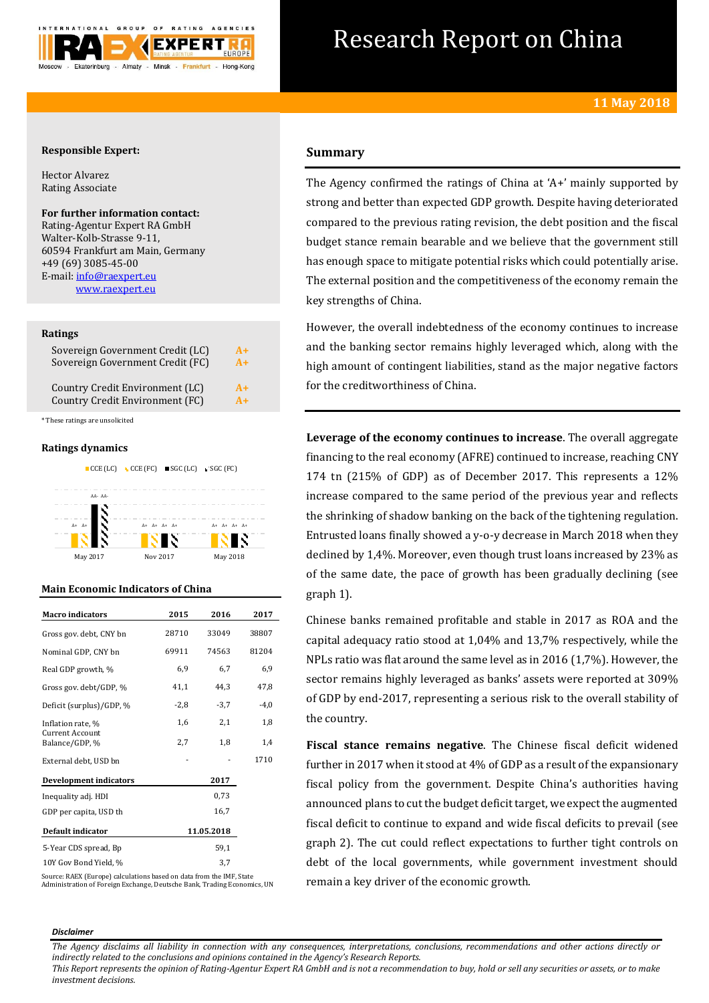

# Research Report on China

# **Responsible Expert:**

Hector Alvarez Rating Associate

**For further information contact:** Rating-Agentur Expert RA GmbH Walter-Kolb-Strasse 9-11, 60594 Frankfurt am Main, Germany +49 (69) 3085-45-00 E-mail[: info@raexpert.eu](mailto:info@raexpert.eu)

[www.raexpert.eu](http://raexpert.eu/)

## **Ratings**

| Sovereign Government Credit (LC) | $A+$ |
|----------------------------------|------|
| Sovereign Government Credit (FC) | $A+$ |
| Country Credit Environment (LC)  | $A+$ |
| Country Credit Environment (FC)  | $A+$ |

\* These ratings are unsolicited

# **Ratings dynamics**



# **Main Economic Indicators of China**

| <b>Macro</b> indicators           | 2015   | 2016       | 2017   |
|-----------------------------------|--------|------------|--------|
| Gross gov. debt, CNY bn           | 28710  | 33049      | 38807  |
| Nominal GDP, CNY bn               | 69911  | 74563      | 81204  |
| Real GDP growth, %                | 6,9    | 6,7        | 6,9    |
| Gross gov. debt/GDP, %            | 41,1   | 44,3       | 47,8   |
| Deficit (surplus)/GDP, %          | $-2,8$ | $-3,7$     | $-4,0$ |
| Inflation rate, %                 | 1,6    | 2,1        | 1,8    |
| Current Account<br>Balance/GDP, % | 2,7    | 1,8        | 1,4    |
| External debt, USD bn             |        |            | 1710   |
| <b>Development indicators</b>     |        | 2017       |        |
| Inequality adj. HDI               |        | 0,73       |        |
| GDP per capita, USD th            |        | 16,7       |        |
| Default indicator                 |        | 11.05.2018 |        |
| 5-Year CDS spread, Bp             |        | 59,1       |        |
| 10Y Gov Bond Yield, %             |        | 3,7        |        |

Source: RAEX (Europe) calculations based on data from the IMF, State Administration of Foreign Exchange, Deutsche Bank, Trading Economics, UN

# **Summary**

The Agency confirmed the ratings of China at 'A+' mainly supported by strong and better than expected GDP growth. Despite having deteriorated compared to the previous rating revision, the debt position and the fiscal budget stance remain bearable and we believe that the government still has enough space to mitigate potential risks which could potentially arise. The external position and the competitiveness of the economy remain the key strengths of China.

However, the overall indebtedness of the economy continues to increase and the banking sector remains highly leveraged which, along with the high amount of contingent liabilities, stand as the major negative factors for the creditworthiness of China.

**Leverage of the economy continues to increase**. The overall aggregate financing to the real economy (AFRE) continued to increase, reaching CNY 174 tn (215% of GDP) as of December 2017. This represents a 12% increase compared to the same period of the previous year and reflects the shrinking of shadow banking on the back of the tightening regulation. Entrusted loans finally showed a y-o-y decrease in March 2018 when they declined by 1,4%. Moreover, even though trust loans increased by 23% as of the same date, the pace of growth has been gradually declining (see graph 1).

Chinese banks remained profitable and stable in 2017 as ROA and the capital adequacy ratio stood at 1,04% and 13,7% respectively, while the NPLs ratio was flat around the same level as in 2016 (1,7%). However, the sector remains highly leveraged as banks' assets were reported at 309% of GDP by end-2017, representing a serious risk to the overall stability of the country.

**Fiscal stance remains negative**. The Chinese fiscal deficit widened further in 2017 when it stood at 4% of GDP as a result of the expansionary fiscal policy from the government. Despite China's authorities having announced plans to cut the budget deficit target, we expect the augmented fiscal deficit to continue to expand and wide fiscal deficits to prevail (see graph 2). The cut could reflect expectations to further tight controls on debt of the local governments, while government investment should remain a key driver of the economic growth.

### *Disclaimer*

*The Agency disclaims all liability in connection with any consequences, interpretations, conclusions, recommendations and other actions directly or indirectly related to the conclusions and opinions contained in the Agency's Research Reports.*

*This Report represents the opinion of Rating-Agentur Expert RA GmbH and is not a recommendation to buy, hold or sell any securities or assets, or to make investment decisions.*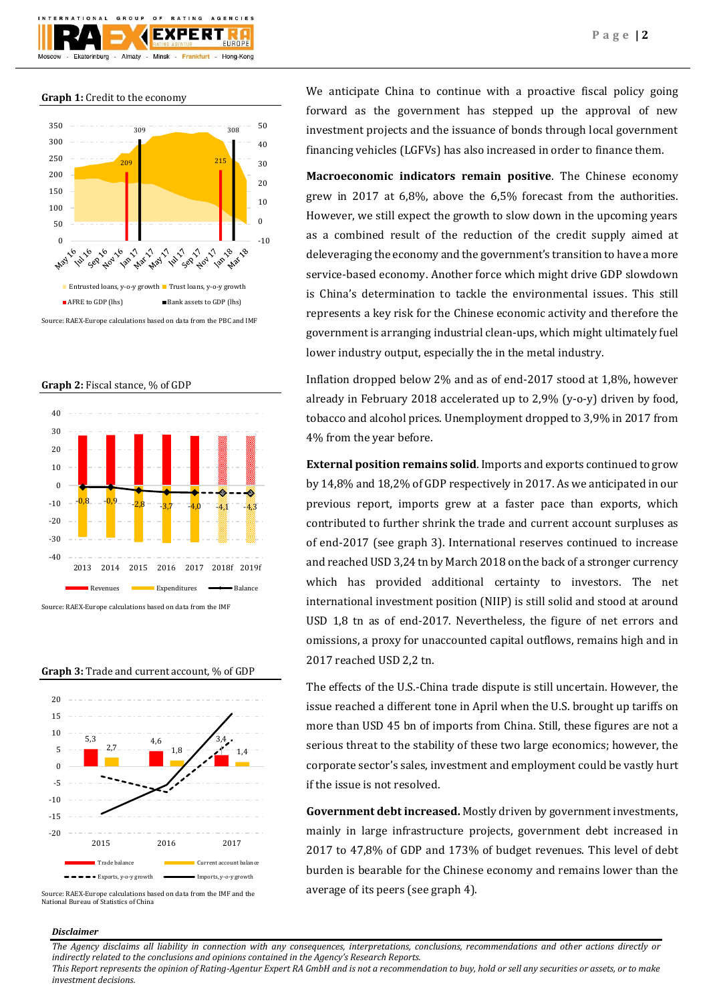

**Graph 1:** Credit to the economy



Source: RAEX-Europe calculations based on data from the PBC and IMF

**Graph 2:** Fiscal stance, % of GDP



Source: RAEX-Europe calculations based on data from the IMF





Source: RAEX-Europe calculations based on data from the IMF and the National Bureau of Statistics of China

We anticipate China to continue with a proactive fiscal policy going forward as the government has stepped up the approval of new investment projects and the issuance of bonds through local government financing vehicles (LGFVs) has also increased in order to finance them.

**Macroeconomic indicators remain positive**. The Chinese economy grew in 2017 at 6,8%, above the 6,5% forecast from the authorities. However, we still expect the growth to slow down in the upcoming years as a combined result of the reduction of the credit supply aimed at deleveraging the economy and the government's transition to have a more service-based economy. Another force which might drive GDP slowdown is China's determination to tackle the environmental issues. This still represents a key risk for the Chinese economic activity and therefore the government is arranging industrial clean-ups, which might ultimately fuel lower industry output, especially the in the metal industry.

Inflation dropped below 2% and as of end-2017 stood at 1,8%, however already in February 2018 accelerated up to 2,9% (y-o-y) driven by food, tobacco and alcohol prices. Unemployment dropped to 3,9% in 2017 from 4% from the year before.

**External position remains solid**. Imports and exports continued to grow by 14,8% and 18,2% of GDP respectively in 2017. As we anticipated in our previous report, imports grew at a faster pace than exports, which contributed to further shrink the trade and current account surpluses as of end-2017 (see graph 3). International reserves continued to increase and reached USD 3,24 tn by March 2018 on the back of a stronger currency which has provided additional certainty to investors. The net international investment position (NIIP) is still solid and stood at around USD 1,8 tn as of end-2017. Nevertheless, the figure of net errors and omissions, a proxy for unaccounted capital outflows, remains high and in 2017 reached USD 2,2 tn.

The effects of the U.S.-China trade dispute is still uncertain. However, the issue reached a different tone in April when the U.S. brought up tariffs on more than USD 45 bn of imports from China. Still, these figures are not a serious threat to the stability of these two large economics; however, the corporate sector's sales, investment and employment could be vastly hurt if the issue is not resolved.

**Government debt increased.** Mostly driven by government investments, mainly in large infrastructure projects, government debt increased in 2017 to 47,8% of GDP and 173% of budget revenues. This level of debt burden is bearable for the Chinese economy and remains lower than the average of its peers (see graph 4).

## *Disclaimer*

*The Agency disclaims all liability in connection with any consequences, interpretations, conclusions, recommendations and other actions directly or indirectly related to the conclusions and opinions contained in the Agency's Research Reports.*

*This Report represents the opinion of Rating-Agentur Expert RA GmbH and is not a recommendation to buy, hold or sell any securities or assets, or to make investment decisions.*